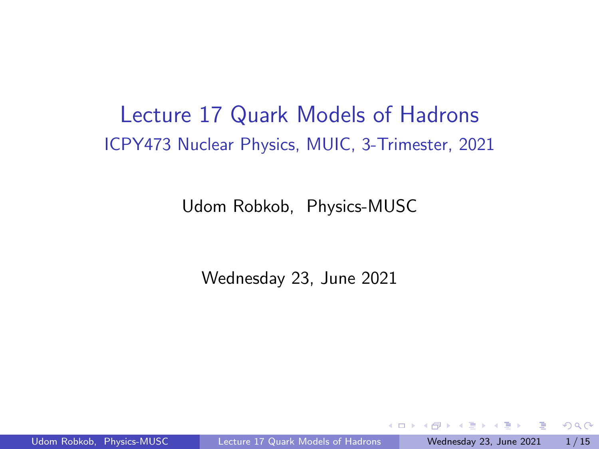### <span id="page-0-0"></span>Lecture 17 Quark Models of Hadrons ICPY473 Nuclear Physics, MUIC, 3-Trimester, 2021

Udom Robkob, Physics-MUSC

Wednesday 23, June 2021

 $299$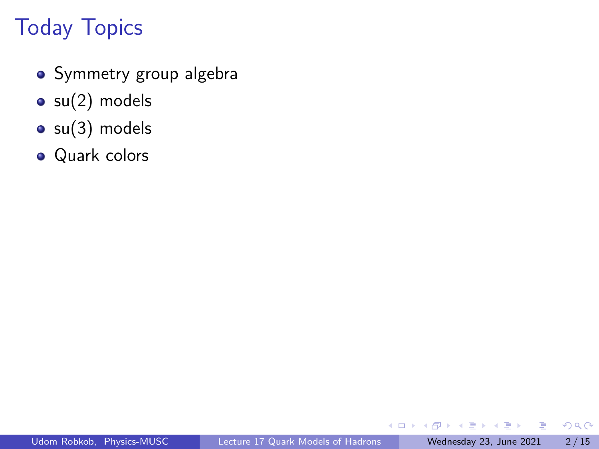# <span id="page-1-0"></span>Today Topics

- Symmetry group algebra
- $\bullet$  su(2) models
- $\bullet$  su(3) models
- Quark colors

Ξ

**ALC** 

4 0 8

4 同 ト

 $QQ$ 

目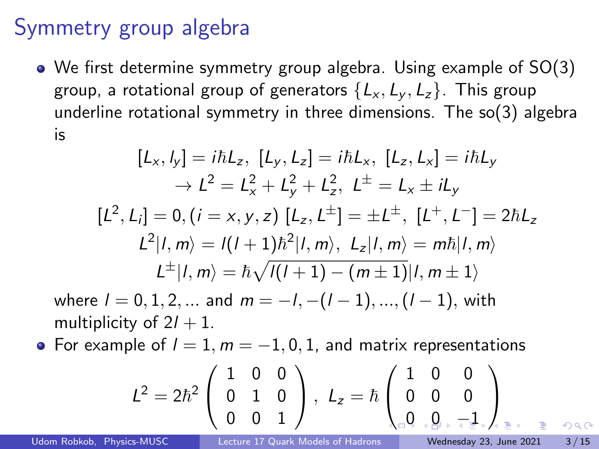### <span id="page-2-0"></span>Symmetry group algebra

We first determine symmetry group algebra. Using example of SO(3) group, a rotational group of generators  $\{L_x, L_y, L_z\}$ . This group underline rotational symmetry in three dimensions. The so(3) algebra is

$$
[L_x, l_y] = i\hbar L_z, [L_y, L_z] = i\hbar L_x, [L_z, L_x] = i\hbar L_y
$$
  
\n
$$
\rightarrow L^2 = L_x^2 + L_y^2 + L_z^2, L^{\pm} = L_x \pm iL_y
$$
  
\n
$$
[L^2, L_i] = 0, (i = x, y, z) [L_z, L^{\pm}] = \pm L^{\pm}, [L^+, L^-] = 2\hbar L_z
$$
  
\n
$$
L^2 |l, m \rangle = l(l+1)\hbar^2 |l, m \rangle, L_z |l, m \rangle = m\hbar |l, m \rangle
$$
  
\n
$$
L^{\pm} |l, m \rangle = \hbar \sqrt{l(l+1) - (m \pm 1)} |l, m \pm 1 \rangle
$$

where  $l = 0, 1, 2, ...$  and  $m = -l, -(l - 1), ..., (l - 1)$ , with multiplicity of  $2l + 1$ .

• For example of  $l = 1, m = -1, 0, 1$ , and matrix representations

L <sup>2</sup> = 2~ 2 1 0 0 0 1 0 0 0 1 , <sup>L</sup><sup>z</sup> <sup>=</sup> <sup>~</sup> 1 0 0 0 0 0 [0](#page-3-0) [0](#page-2-0) [−](#page-0-0)[1](#page-14-0)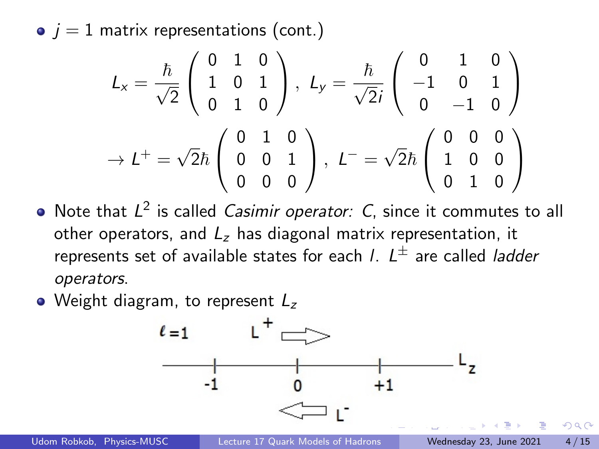<span id="page-3-0"></span> $\bullet$   $j = 1$  matrix representations (cont.)

$$
L_x = \frac{\hbar}{\sqrt{2}} \begin{pmatrix} 0 & 1 & 0 \\ 1 & 0 & 1 \\ 0 & 1 & 0 \end{pmatrix}, L_y = \frac{\hbar}{\sqrt{2}i} \begin{pmatrix} 0 & 1 & 0 \\ -1 & 0 & 1 \\ 0 & -1 & 0 \end{pmatrix}
$$

$$
\rightarrow L^+ = \sqrt{2}\hbar \begin{pmatrix} 0 & 1 & 0 \\ 0 & 0 & 1 \\ 0 & 0 & 0 \end{pmatrix}, L^- = \sqrt{2}\hbar \begin{pmatrix} 0 & 0 & 0 \\ 1 & 0 & 0 \\ 0 & 1 & 0 \end{pmatrix}
$$

- Note that  $L^2$  is called *Casimir operator: C*, since it commutes to all other operators, and  $L_z$  has diagonal matrix representation, it represents set of available states for each *I*.  $L^{\pm}$  are called *ladder* operators.
- Weight diagram, to represent  $L_z$



 $\Omega$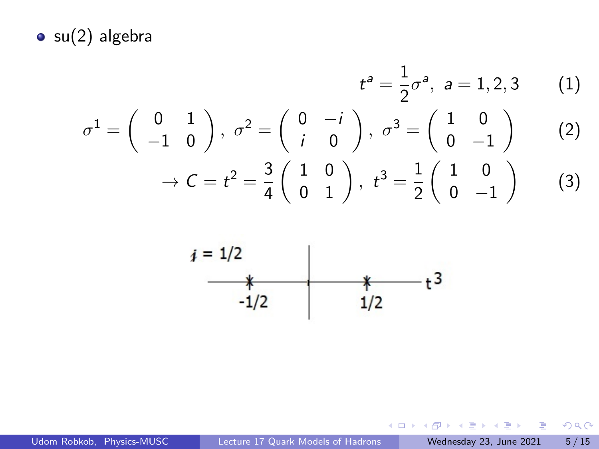<span id="page-4-0"></span> $\bullet$  su(2) algebra

$$
t^{a} = \frac{1}{2}\sigma^{a}, \quad a = 1, 2, 3 \qquad (1)
$$

$$
\sigma^{1} = \begin{pmatrix} 0 & 1 \\ -1 & 0 \end{pmatrix}, \quad \sigma^{2} = \begin{pmatrix} 0 & -i \\ i & 0 \end{pmatrix}, \quad \sigma^{3} = \begin{pmatrix} 1 & 0 \\ 0 & -1 \end{pmatrix} \qquad (2)
$$

$$
\rightarrow C = t^{2} = \frac{3}{4} \begin{pmatrix} 1 & 0 \\ 0 & 1 \end{pmatrix}, \quad t^{3} = \frac{1}{2} \begin{pmatrix} 1 & 0 \\ 0 & -1 \end{pmatrix} \qquad (3)
$$



重

 $298$ 

イロト イ部 トイモ トイモト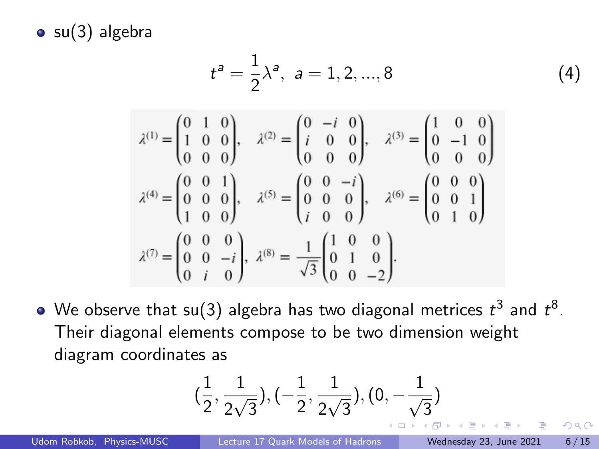<span id="page-5-0"></span> $\bullet$  su(3) algebra

$$
t^{a} = \frac{1}{2}\lambda^{a}, \quad a = 1, 2, ..., 8
$$
 (4)

$$
\lambda^{(1)} = \begin{pmatrix} 0 & 1 & 0 \\ 1 & 0 & 0 \\ 0 & 0 & 0 \end{pmatrix}, \quad \lambda^{(2)} = \begin{pmatrix} 0 & -i & 0 \\ i & 0 & 0 \\ 0 & 0 & 0 \end{pmatrix}, \quad \lambda^{(3)} = \begin{pmatrix} 1 & 0 & 0 \\ 0 & -1 & 0 \\ 0 & 0 & 0 \end{pmatrix}
$$

$$
\lambda^{(4)} = \begin{pmatrix} 0 & 0 & 1 \\ 0 & 0 & 0 \\ 1 & 0 & 0 \end{pmatrix}, \quad \lambda^{(5)} = \begin{pmatrix} 0 & 0 & -i \\ 0 & 0 & 0 \\ i & 0 & 0 \end{pmatrix}, \quad \lambda^{(6)} = \begin{pmatrix} 0 & 0 & 0 \\ 0 & 0 & 1 \\ 0 & 1 & 0 \end{pmatrix}
$$

$$
\lambda^{(7)} = \begin{pmatrix} 0 & 0 & 0 \\ 0 & 0 & -i \\ 0 & i & 0 \end{pmatrix}, \quad \lambda^{(8)} = \frac{1}{\sqrt{3}} \begin{pmatrix} 1 & 0 & 0 \\ 0 & 1 & 0 \\ 0 & 0 & -2 \end{pmatrix}.
$$

We observe that su(3) algebra has two diagonal metrices  $t^3$  and  $t^8$ . Their diagonal elements compose to be two dimension weight diagram coordinates as

$$
(\frac{1}{2},\frac{1}{2\sqrt{3}}), (-\frac{1}{2},\frac{1}{2\sqrt{3}}), (0,-\frac{1}{\sqrt{3}})
$$

 $\Omega$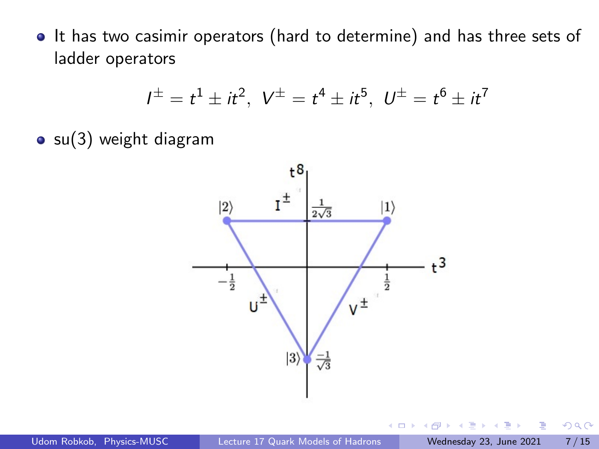• It has two casimir operators (hard to determine) and has three sets of ladder operators

$$
I^{\pm} = t^1 \pm it^2
$$
,  $V^{\pm} = t^4 \pm it^5$ ,  $U^{\pm} = t^6 \pm it^7$ 

 $\circ$  su(3) weight diagram



€⊡

 $QQ$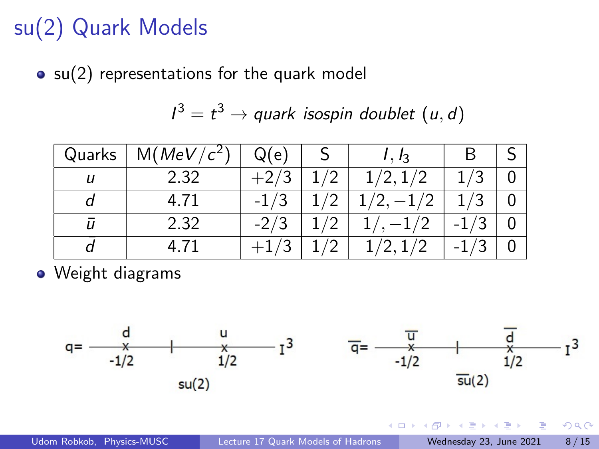## <span id="page-7-0"></span>su(2) Quark Models

 $\bullet$  su(2) representations for the quark model

$$
I^3 = t^3 \rightarrow \text{quark isospin doublet } (u, d)
$$

| Quarks | M(MeV/c <sup>2</sup> ) | Q(e)  | $I, I_3$ | В |  |
|--------|------------------------|-------|----------|---|--|
|        | 2.32                   | $+2,$ | 1/2, 1/2 |   |  |
|        | 4.71                   |       |          |   |  |
| IJ     | 2.32                   |       |          |   |  |
|        | 4.71                   |       | 1 / 2    |   |  |

Weight diagrams



 $\leftarrow$   $\Box$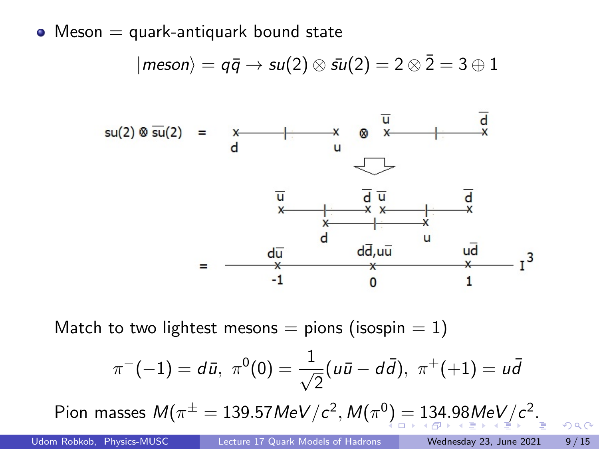<span id="page-8-0"></span> $\bullet$  Meson  $=$  quark-antiquark bound state

$$
|meson\rangle = q\bar{q} \rightarrow su(2) \otimes \bar{su}(2) = 2 \otimes \bar{2} = 3 \oplus 1
$$



Match to two lightest mesons = pions (isospin =  $1$ )

$$
\pi^{-}(-1) = d\bar{u}, \ \pi^{0}(0) = \frac{1}{\sqrt{2}}(u\bar{u} - d\bar{d}), \ \pi^{+}(+1) = u\bar{d}
$$
  
Pion masses  $M(\pi^{\pm} = 139.57 \text{MeV}/c^2, M(\pi^{0}) = 134.98 \text{MeV}/c^2$ .

 $\Omega$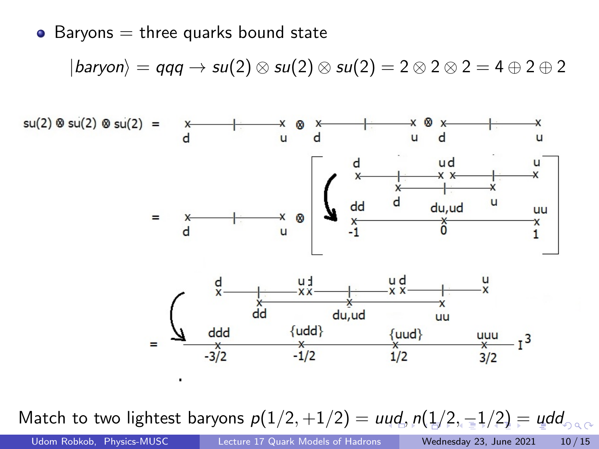<span id="page-9-0"></span> $\bullet$  Baryons  $=$  three quarks bound state

$$
|baryon\rangle = qqq \rightarrow su(2) \otimes su(2) \otimes su(2) = 2 \otimes 2 \otimes 2 = 4 \oplus 2 \oplus 2
$$



Match to two lightest baryo[n](#page-10-0)s  $p(1/2, +1/2) = uud, p(1/2, -1/2) = udd$  $p(1/2, +1/2) = uud, p(1/2, -1/2) = udd$  $p(1/2, +1/2) = uud, p(1/2, -1/2) = udd$  $p(1/2, +1/2) = uud, p(1/2, -1/2) = udd$  $p(1/2, +1/2) = uud, p(1/2, -1/2) = udd$  $p(1/2, +1/2) = uud, p(1/2, -1/2) = udd$  $p(1/2, +1/2) = uud, p(1/2, -1/2) = udd$  $p(1/2, +1/2) = uud, p(1/2, -1/2) = udd$  $p(1/2, +1/2) = uud, p(1/2, -1/2) = udd$  $p(1/2, +1/2) = uud, p(1/2, -1/2) = udd$  $p(1/2, +1/2) = uud, p(1/2, -1/2) = udd$  $p(1/2, +1/2) = uud, p(1/2, -1/2) = udd$  $p(1/2, +1/2) = uud, p(1/2, -1/2) = udd$ 

Udom Robkob, Physics-MUSC [Lecture 17 Quark Models of Hadrons](#page-0-0) Wednesday 23, June 2021 10 / 15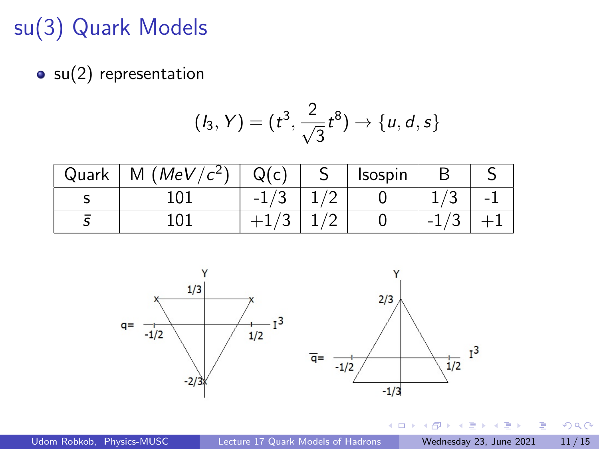### <span id="page-10-0"></span>su(3) Quark Models

 $\bullet$  su(2) representation

$$
(I_3, Y) = (t^3, \frac{2}{\sqrt{3}}t^8) \rightarrow \{u, d, s\}
$$

| Quark | M (MeV/ $c^2$ ) | Q(c)   | <b>Isospin</b> |   |  |
|-------|-----------------|--------|----------------|---|--|
|       |                 | $-1$ . |                | ◡ |  |
|       |                 |        |                |   |  |



 $\mathbf{h}$  $\rightarrow$   $\equiv$ J.

 $\sim$ 

4日下

÷,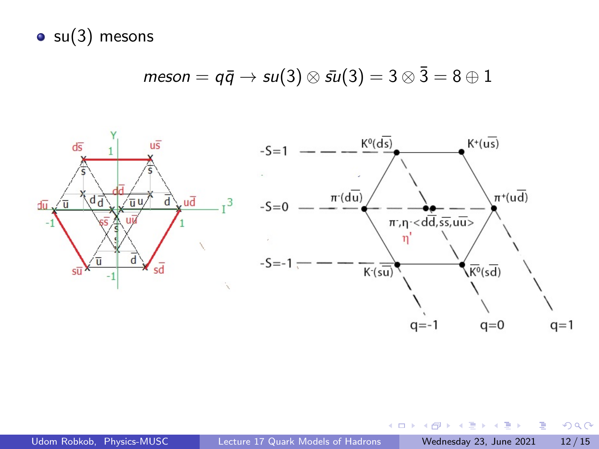$\bullet$  su(3) mesons

$$
meson = q\bar{q} \rightarrow su(3) \otimes \bar{su}(3) = 3 \otimes \bar{3} = 8 \oplus 1
$$



 $\sim$ 14.1 Þ

 $\mathbf{p}$  $\rightarrow$   $\equiv$   $\rightarrow$ 

 $\leftarrow$   $\Box$ ∢母  $299$ 

э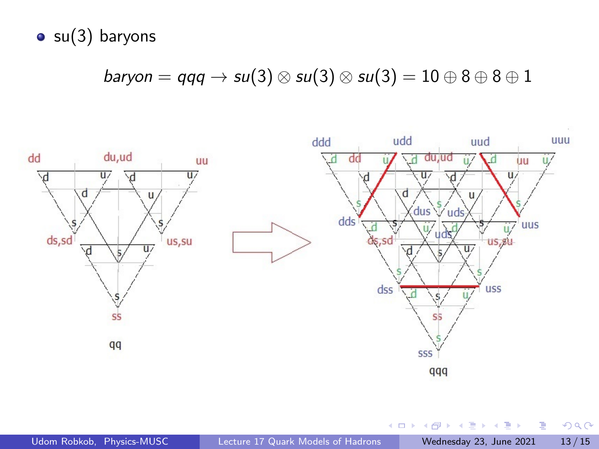$\bullet$  su(3) baryons

baryon = qqq  $\rightarrow$  su(3)  $\otimes$  su(3)  $\otimes$  su(3) = 10  $\oplus$  8  $\oplus$  8  $\oplus$  1



×  $\leftarrow \equiv$   $\rightarrow$ 

 $\leftarrow$   $\Box$ 

э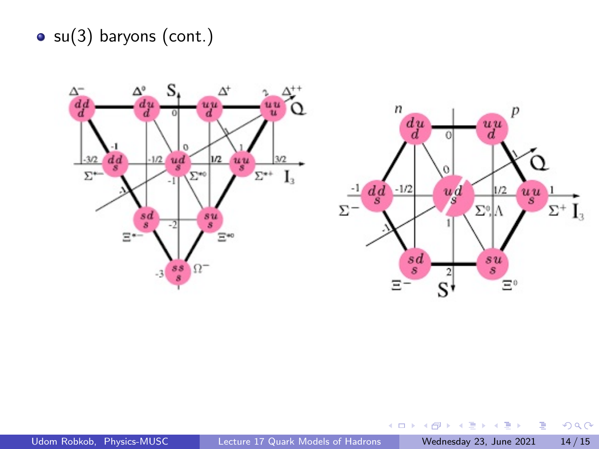$\bullet$  su(3) baryons (cont.)



 $\mathcal{A}$ Þ

×  $\leftarrow \equiv$   $\rightarrow$ 

 $\leftarrow$   $\leftarrow$   $\leftarrow$ 

 $\leftarrow$   $\Box$ 

÷,